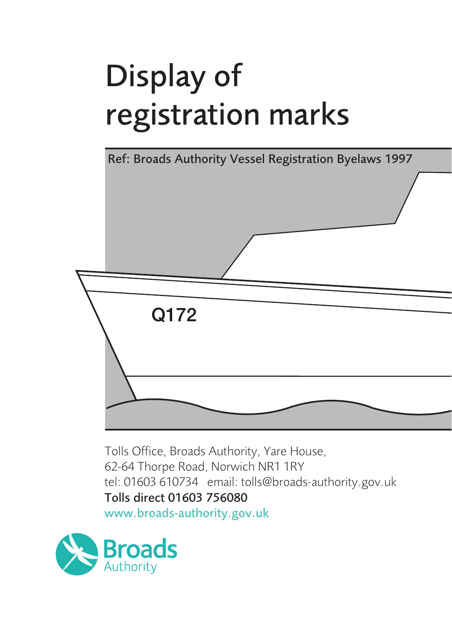# Display of registration marks



Tolls Office, Broads Authority, Yare House, 62-64 Thorpe Road, Norwich NR1 1RY tel: 01603 610734 email: tolls@broads-authority.gov.uk Tolls direct 01603 756080

www.broads-authority.gov.uk

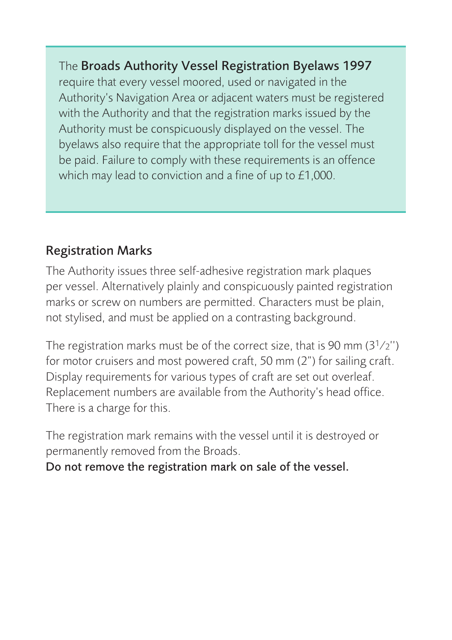#### The Broads Authority Vessel Registration Byelaws 1997

require that every vessel moored, used or navigated in the Authority's Navigation Area or adjacent waters must be registered with the Authority and that the registration marks issued by the Authority must be conspicuously displayed on the vessel. The byelaws also require that the appropriate toll for the vessel must be paid. Failure to comply with these requirements is an offence which may lead to conviction and a fine of up to £1,000.

#### Registration Marks

The Authority issues three self-adhesive registration mark plaques per vessel. Alternatively plainly and conspicuously painted registration marks or screw on numbers are permitted. Characters must be plain, not stylised, and must be applied on a contrasting background.

The registration marks must be of the correct size, that is 90 mm  $(3<sup>1</sup>/2'')$ for motor cruisers and most powered craft, 50 mm (2") for sailing craft. Display requirements for various types of craft are set out overleaf. Replacement numbers are available from the Authority's head office. There is a charge for this.

The registration mark remains with the vessel until it is destroyed or permanently removed from the Broads.

Do not remove the registration mark on sale of the vessel.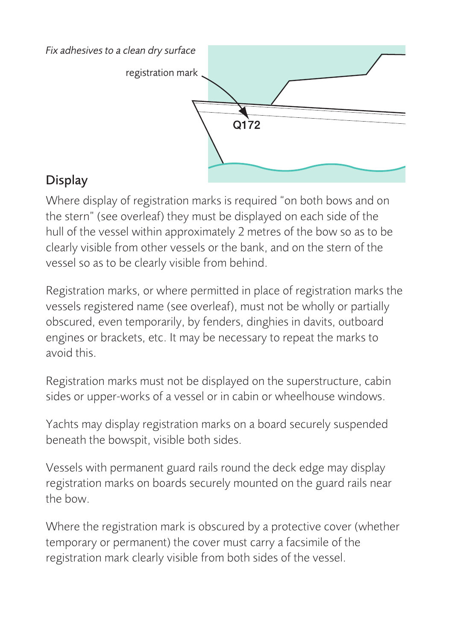

### **Display**

Where display of registration marks is required "on both bows and on the stern" (see overleaf) they must be displayed on each side of the hull of the vessel within approximately 2 metres of the bow so as to be clearly visible from other vessels or the bank, and on the stern of the vessel so as to be clearly visible from behind.

Registration marks, or where permitted in place of registration marks the vessels registered name (see overleaf), must not be wholly or partially obscured, even temporarily, by fenders, dinghies in davits, outboard engines or brackets, etc. It may be necessary to repeat the marks to avoid this.

Registration marks must not be displayed on the superstructure, cabin sides or upper-works of a vessel or in cabin or wheelhouse windows.

Yachts may display registration marks on a board securely suspended beneath the bowspit, visible both sides.

Vessels with permanent guard rails round the deck edge may display registration marks on boards securely mounted on the guard rails near the bow.

Where the registration mark is obscured by a protective cover (whether temporary or permanent) the cover must carry a facsimile of the registration mark clearly visible from both sides of the vessel.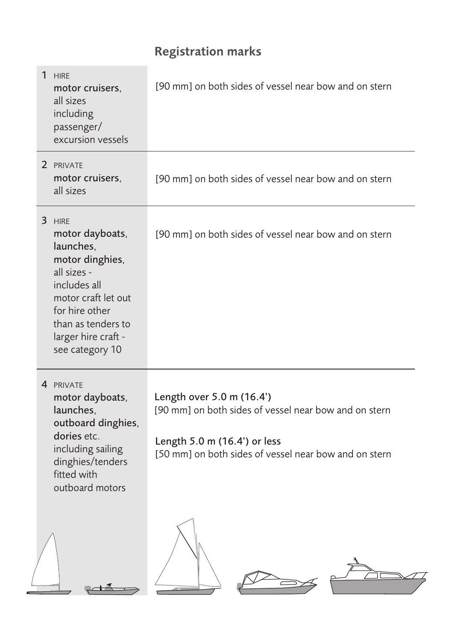## Registration marks

| 1 HIRE<br>motor cruisers,<br>all sizes<br>including<br>passenger/<br>excursion vessels                                                                                                            | [90 mm] on both sides of vessel near bow and on stern                                                                                                                       |
|---------------------------------------------------------------------------------------------------------------------------------------------------------------------------------------------------|-----------------------------------------------------------------------------------------------------------------------------------------------------------------------------|
| 2 PRIVATE<br>motor cruisers,<br>all sizes                                                                                                                                                         | [90 mm] on both sides of vessel near bow and on stern                                                                                                                       |
| 3 HIRE<br>motor dayboats,<br>launches,<br>motor dinghies,<br>all sizes -<br>includes all<br>motor craft let out<br>for hire other<br>than as tenders to<br>larger hire craft -<br>see category 10 | [90 mm] on both sides of vessel near bow and on stern                                                                                                                       |
| 4 PRIVATE<br>motor dayboats,<br>launches,<br>outboard dinghies,<br>dories etc.<br>including sailing<br>dinghies/tenders<br>fitted with<br>outboard motors                                         | Length over 5.0 m (16.4')<br>[90 mm] on both sides of vessel near bow and on stern<br>Length 5.0 m (16.4') or less<br>[50 mm] on both sides of vessel near bow and on stern |
|                                                                                                                                                                                                   |                                                                                                                                                                             |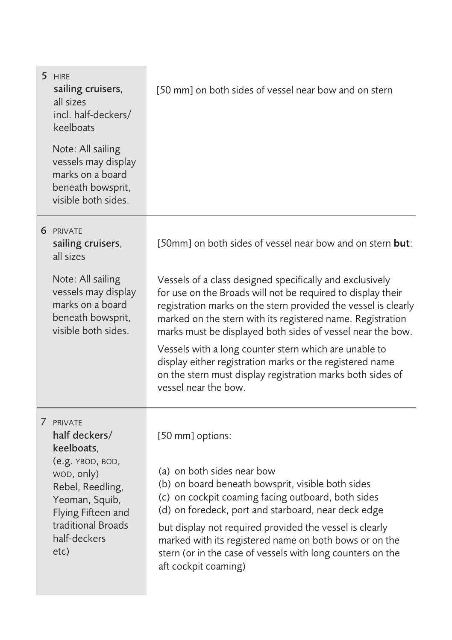| 5 HIRE<br>sailing cruisers,<br>all sizes<br>incl. half-deckers/<br>keelboats                                                                                                         | [50 mm] on both sides of vessel near bow and on stern                                                                                                                                                                                                                                                                                                                                                                                                                                                                            |
|--------------------------------------------------------------------------------------------------------------------------------------------------------------------------------------|----------------------------------------------------------------------------------------------------------------------------------------------------------------------------------------------------------------------------------------------------------------------------------------------------------------------------------------------------------------------------------------------------------------------------------------------------------------------------------------------------------------------------------|
| Note: All sailing<br>vessels may display<br>marks on a board<br>beneath bowsprit,<br>visible both sides.                                                                             |                                                                                                                                                                                                                                                                                                                                                                                                                                                                                                                                  |
| 6 PRIVATE<br>sailing cruisers,<br>all sizes                                                                                                                                          | [50mm] on both sides of vessel near bow and on stern but:                                                                                                                                                                                                                                                                                                                                                                                                                                                                        |
| Note: All sailing<br>vessels may display<br>marks on a board<br>beneath bowsprit,<br>visible both sides.                                                                             | Vessels of a class designed specifically and exclusively<br>for use on the Broads will not be required to display their<br>registration marks on the stern provided the vessel is clearly<br>marked on the stern with its registered name. Registration<br>marks must be displayed both sides of vessel near the bow.<br>Vessels with a long counter stern which are unable to<br>display either registration marks or the registered name<br>on the stern must display registration marks both sides of<br>vessel near the bow. |
| 7 PRIVATE<br>half deckers/<br>keelboats,<br>(e.g. YBOD, BOD,<br>wop, only)<br>Rebel, Reedling,<br>Yeoman, Squib,<br>Flying Fifteen and<br>traditional Broads<br>half-deckers<br>etc) | [50 mm] options:<br>(a) on both sides near bow<br>(b) on board beneath bowsprit, visible both sides<br>(c) on cockpit coaming facing outboard, both sides<br>(d) on foredeck, port and starboard, near deck edge<br>but display not required provided the vessel is clearly<br>marked with its registered name on both bows or on the<br>stern (or in the case of vessels with long counters on the<br>aft cockpit coaming)                                                                                                      |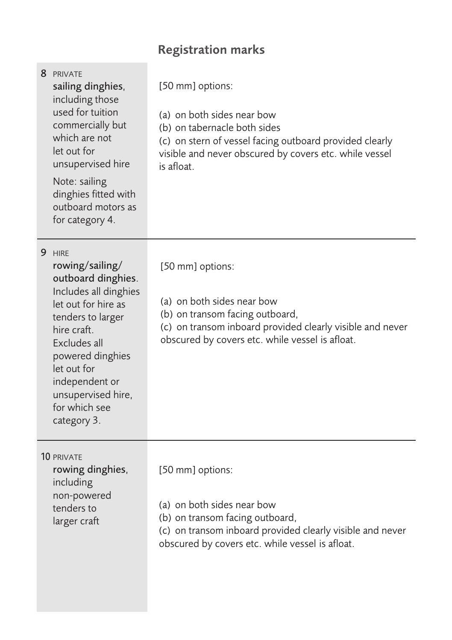## Registration marks

| 8 PRIVATE<br>sailing dinghies,<br>including those<br>used for tuition<br>commercially but<br>which are not<br>let out for<br>unsupervised hire<br>Note: sailing<br>dinghies fitted with<br>outboard motors as<br>for category 4.                               | [50 mm] options:<br>(a) on both sides near bow<br>(b) on tabernacle both sides<br>(c) on stern of vessel facing outboard provided clearly<br>visible and never obscured by covers etc. while vessel<br>is afloat. |
|----------------------------------------------------------------------------------------------------------------------------------------------------------------------------------------------------------------------------------------------------------------|-------------------------------------------------------------------------------------------------------------------------------------------------------------------------------------------------------------------|
| 9 HIRF<br>rowing/sailing/<br>outboard dinghies.<br>Includes all dinghies<br>let out for hire as<br>tenders to larger<br>hire craft.<br>Excludes all<br>powered dinghies<br>let out for<br>independent or<br>unsupervised hire,<br>for which see<br>category 3. | [50 mm] options:<br>(a) on both sides near bow<br>(b) on transom facing outboard,<br>(c) on transom inboard provided clearly visible and never<br>obscured by covers etc. while vessel is afloat.                 |
| <b>10 PRIVATE</b><br>rowing dinghies,<br>including<br>non-powered<br>tenders to<br>larger craft                                                                                                                                                                | [50 mm] options:<br>(a) on both sides near bow<br>(b) on transom facing outboard,<br>(c) on transom inboard provided clearly visible and never<br>obscured by covers etc. while vessel is afloat.                 |